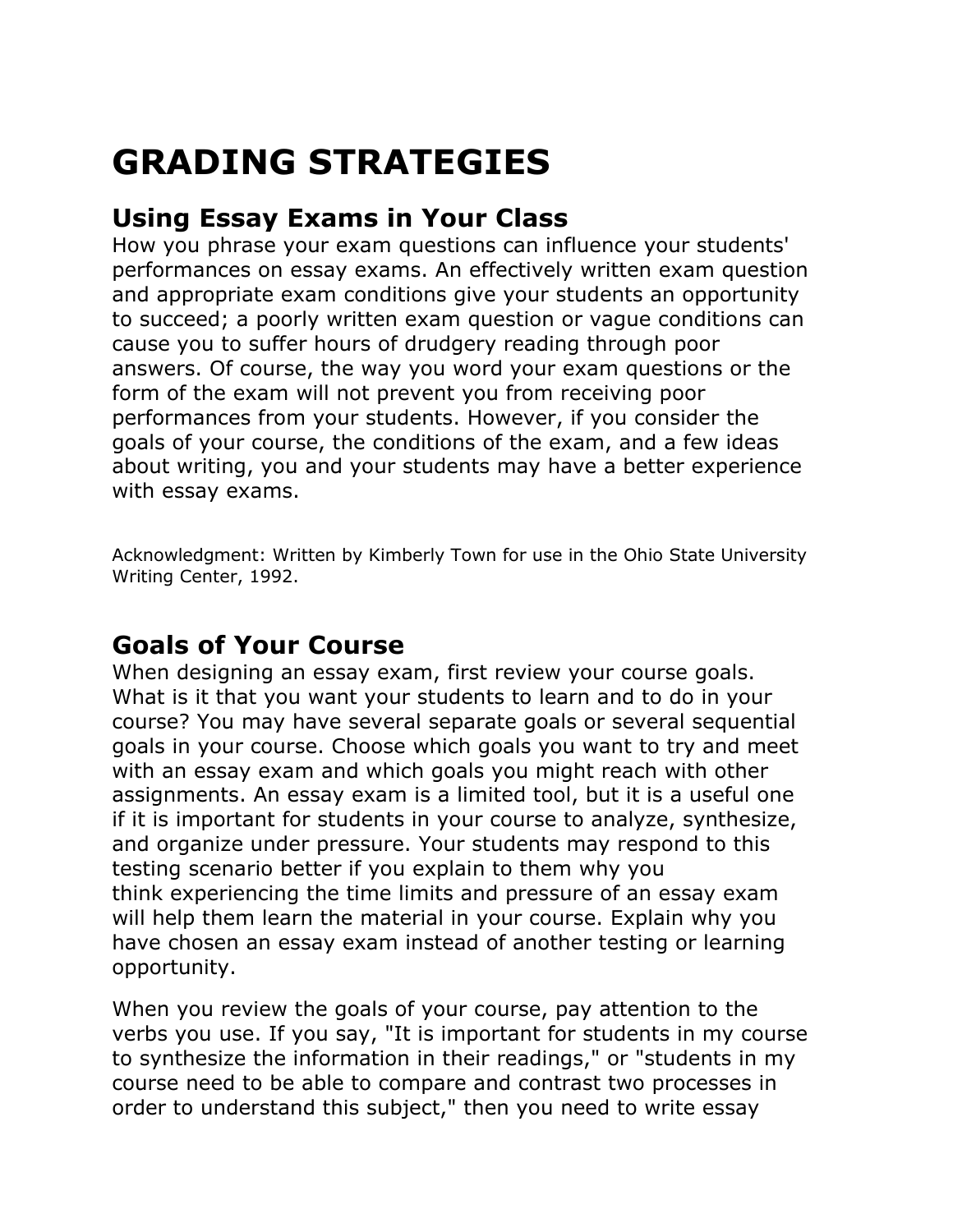# **GRADING STRATEGIES**

# **Using Essay Exams in Your Class**

How you phrase your exam questions can influence your students' performances on essay exams. An effectively written exam question and appropriate exam conditions give your students an opportunity to succeed; a poorly written exam question or vague conditions can cause you to suffer hours of drudgery reading through poor answers. Of course, the way you word your exam questions or the form of the exam will not prevent you from receiving poor performances from your students. However, if you consider the goals of your course, the conditions of the exam, and a few ideas about writing, you and your students may have a better experience with essay exams.

Acknowledgment: Written by Kimberly Town for use in the Ohio State University Writing Center, 1992.

## **Goals of Your Course**

When designing an essay exam, first review your course goals. What is it that you want your students to learn and to do in your course? You may have several separate goals or several sequential goals in your course. Choose which goals you want to try and meet with an essay exam and which goals you might reach with other assignments. An essay exam is a limited tool, but it is a useful one if it is important for students in your course to analyze, synthesize, and organize under pressure. Your students may respond to this testing scenario better if you explain to them why you think experiencing the time limits and pressure of an essay exam will help them learn the material in your course. Explain why you have chosen an essay exam instead of another testing or learning opportunity.

When you review the goals of your course, pay attention to the verbs you use. If you say, "It is important for students in my course to synthesize the information in their readings," or "students in my course need to be able to compare and contrast two processes in order to understand this subject," then you need to write essay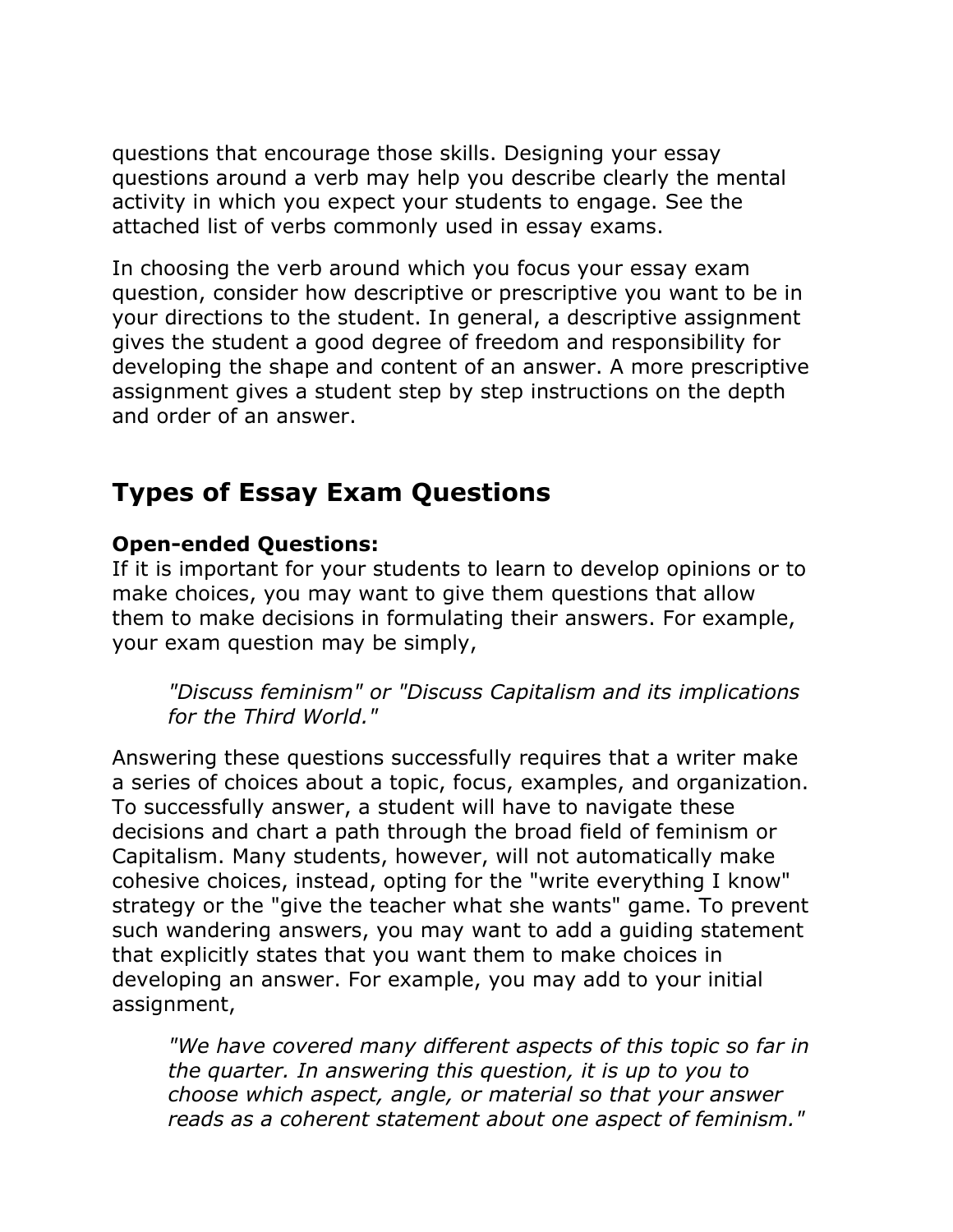questions that encourage those skills. Designing your essay questions around a verb may help you describe clearly the mental activity in which you expect your students to engage. See the attached list of verbs commonly used in essay exams.

In choosing the verb around which you focus your essay exam question, consider how descriptive or prescriptive you want to be in your directions to the student. In general, a descriptive assignment gives the student a good degree of freedom and responsibility for developing the shape and content of an answer. A more prescriptive assignment gives a student step by step instructions on the depth and order of an answer.

# **Types of Essay Exam Questions**

#### **Open-ended Questions:**

If it is important for your students to learn to develop opinions or to make choices, you may want to give them questions that allow them to make decisions in formulating their answers. For example, your exam question may be simply,

*"Discuss feminism" or "Discuss Capitalism and its implications for the Third World."*

Answering these questions successfully requires that a writer make a series of choices about a topic, focus, examples, and organization. To successfully answer, a student will have to navigate these decisions and chart a path through the broad field of feminism or Capitalism. Many students, however, will not automatically make cohesive choices, instead, opting for the "write everything I know" strategy or the "give the teacher what she wants" game. To prevent such wandering answers, you may want to add a guiding statement that explicitly states that you want them to make choices in developing an answer. For example, you may add to your initial assignment,

*"We have covered many different aspects of this topic so far in the quarter. In answering this question, it is up to you to choose which aspect, angle, or material so that your answer reads as a coherent statement about one aspect of feminism."*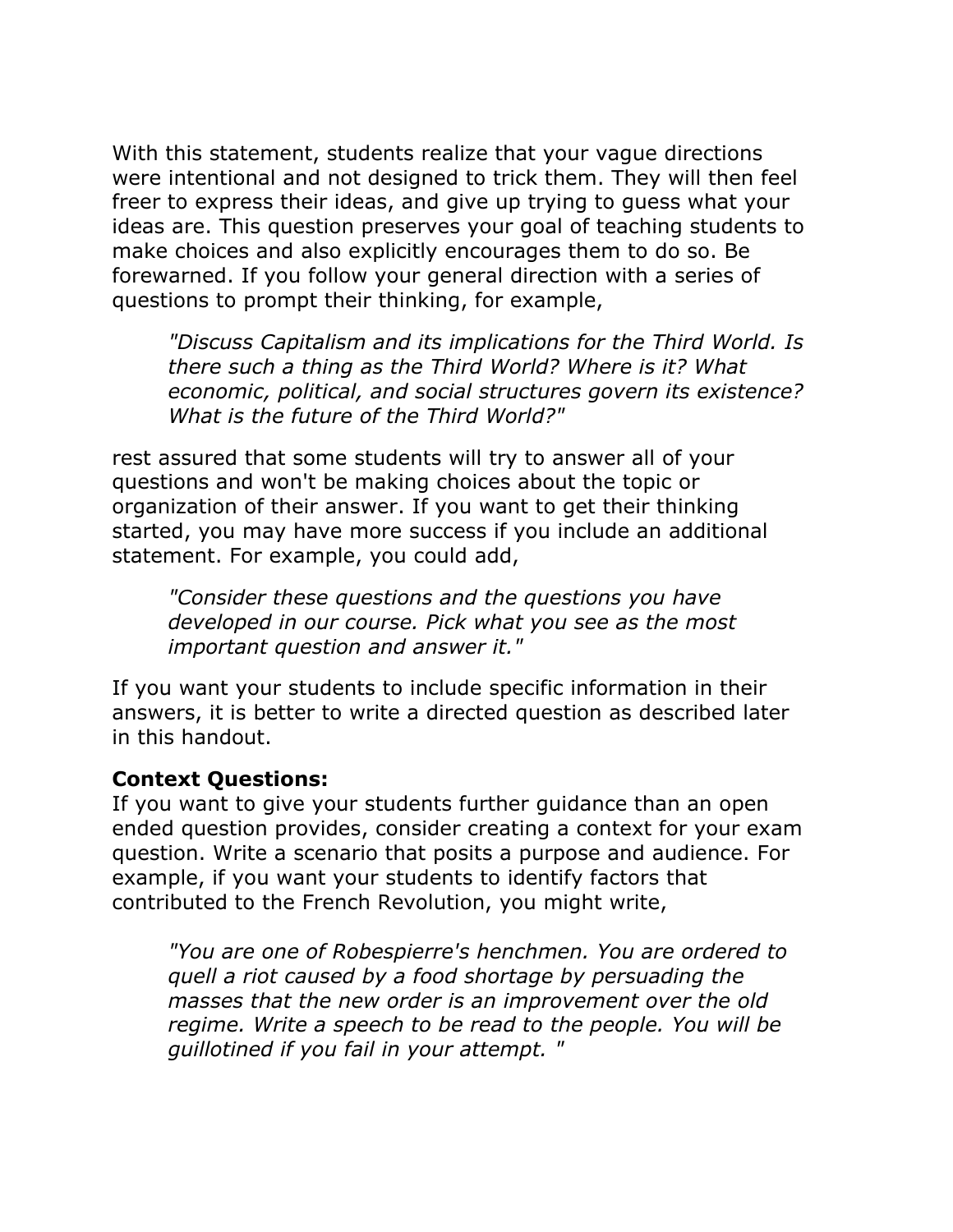With this statement, students realize that your vague directions were intentional and not designed to trick them. They will then feel freer to express their ideas, and give up trying to guess what your ideas are. This question preserves your goal of teaching students to make choices and also explicitly encourages them to do so. Be forewarned. If you follow your general direction with a series of questions to prompt their thinking, for example,

*"Discuss Capitalism and its implications for the Third World. Is there such a thing as the Third World? Where is it? What economic, political, and social structures govern its existence? What is the future of the Third World?"*

rest assured that some students will try to answer all of your questions and won't be making choices about the topic or organization of their answer. If you want to get their thinking started, you may have more success if you include an additional statement. For example, you could add,

*"Consider these questions and the questions you have developed in our course. Pick what you see as the most important question and answer it."*

If you want your students to include specific information in their answers, it is better to write a directed question as described later in this handout.

#### **Context Questions:**

If you want to give your students further guidance than an open ended question provides, consider creating a context for your exam question. Write a scenario that posits a purpose and audience. For example, if you want your students to identify factors that contributed to the French Revolution, you might write,

*"You are one of Robespierre's henchmen. You are ordered to quell a riot caused by a food shortage by persuading the masses that the new order is an improvement over the old regime. Write a speech to be read to the people. You will be guillotined if you fail in your attempt. "*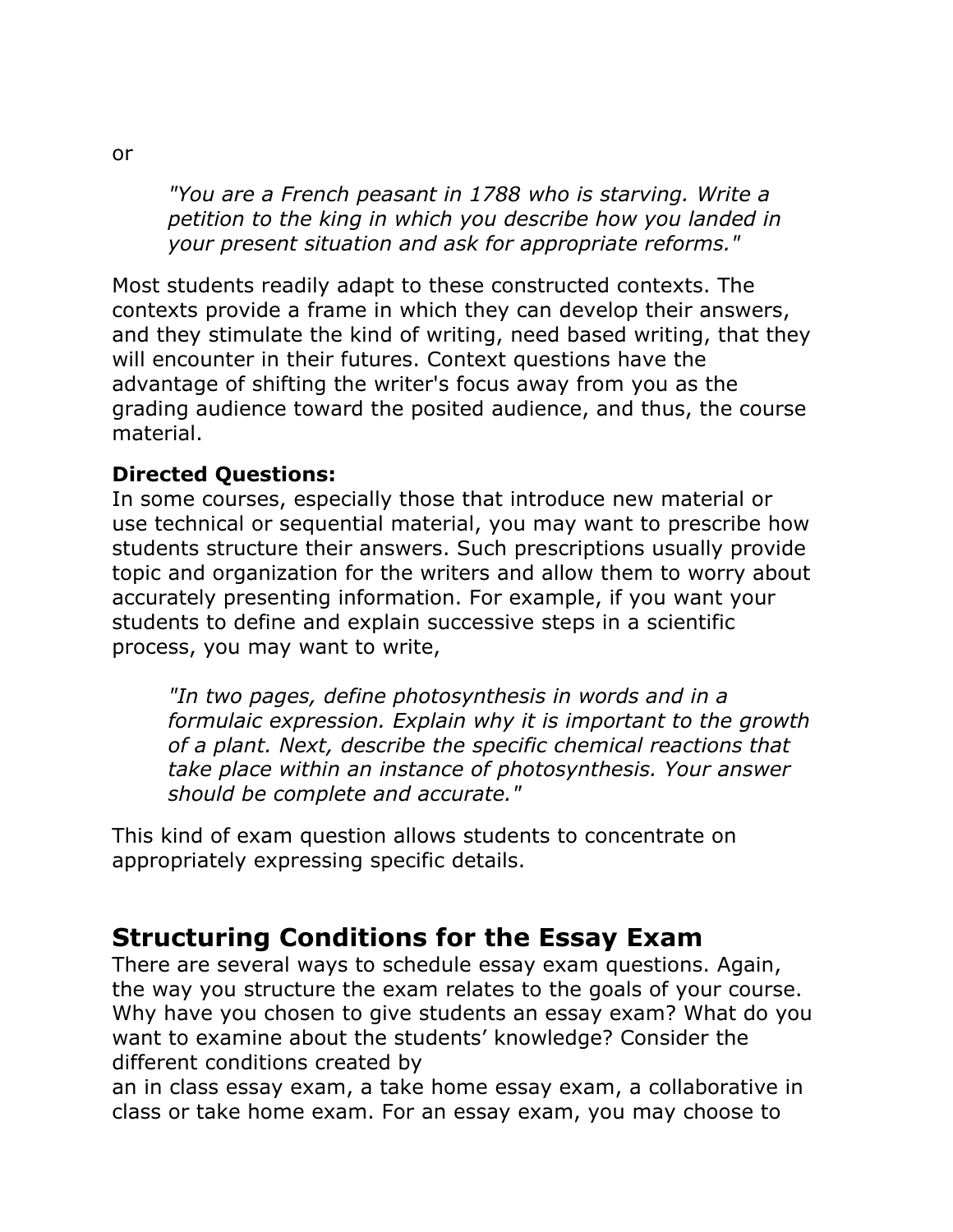*"You are a French peasant in 1788 who is starving. Write a petition to the king in which you describe how you landed in your present situation and ask for appropriate reforms."*

Most students readily adapt to these constructed contexts. The contexts provide a frame in which they can develop their answers, and they stimulate the kind of writing, need based writing, that they will encounter in their futures. Context questions have the advantage of shifting the writer's focus away from you as the grading audience toward the posited audience, and thus, the course material.

#### **Directed Questions:**

In some courses, especially those that introduce new material or use technical or sequential material, you may want to prescribe how students structure their answers. Such prescriptions usually provide topic and organization for the writers and allow them to worry about accurately presenting information. For example, if you want your students to define and explain successive steps in a scientific process, you may want to write,

*"In two pages, define photosynthesis in words and in a formulaic expression. Explain why it is important to the growth of a plant. Next, describe the specific chemical reactions that take place within an instance of photosynthesis. Your answer should be complete and accurate."*

This kind of exam question allows students to concentrate on appropriately expressing specific details.

## **Structuring Conditions for the Essay Exam**

There are several ways to schedule essay exam questions. Again, the way you structure the exam relates to the goals of your course. Why have you chosen to give students an essay exam? What do you want to examine about the students' knowledge? Consider the different conditions created by

an in class essay exam, a take home essay exam, a collaborative in class or take home exam. For an essay exam, you may choose to

or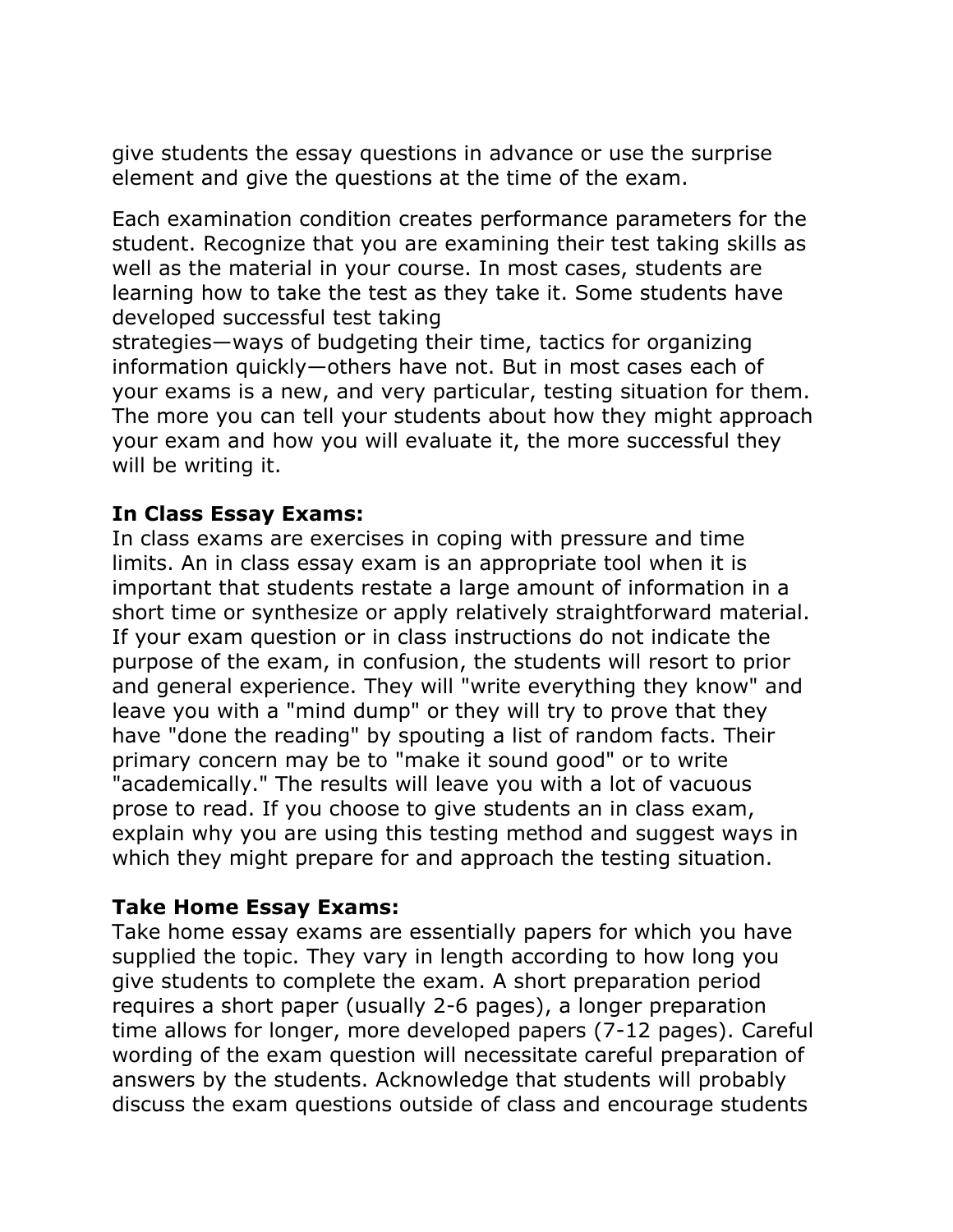give students the essay questions in advance or use the surprise element and give the questions at the time of the exam.

Each examination condition creates performance parameters for the student. Recognize that you are examining their test taking skills as well as the material in your course. In most cases, students are learning how to take the test as they take it. Some students have developed successful test taking

strategies—ways of budgeting their time, tactics for organizing information quickly—others have not. But in most cases each of your exams is a new, and very particular, testing situation for them. The more you can tell your students about how they might approach your exam and how you will evaluate it, the more successful they will be writing it.

#### **In Class Essay Exams:**

In class exams are exercises in coping with pressure and time limits. An in class essay exam is an appropriate tool when it is important that students restate a large amount of information in a short time or synthesize or apply relatively straightforward material. If your exam question or in class instructions do not indicate the purpose of the exam, in confusion, the students will resort to prior and general experience. They will "write everything they know" and leave you with a "mind dump" or they will try to prove that they have "done the reading" by spouting a list of random facts. Their primary concern may be to "make it sound good" or to write "academically." The results will leave you with a lot of vacuous prose to read. If you choose to give students an in class exam, explain why you are using this testing method and suggest ways in which they might prepare for and approach the testing situation.

#### **Take Home Essay Exams:**

Take home essay exams are essentially papers for which you have supplied the topic. They vary in length according to how long you give students to complete the exam. A short preparation period requires a short paper (usually 2-6 pages), a longer preparation time allows for longer, more developed papers (7-12 pages). Careful wording of the exam question will necessitate careful preparation of answers by the students. Acknowledge that students will probably discuss the exam questions outside of class and encourage students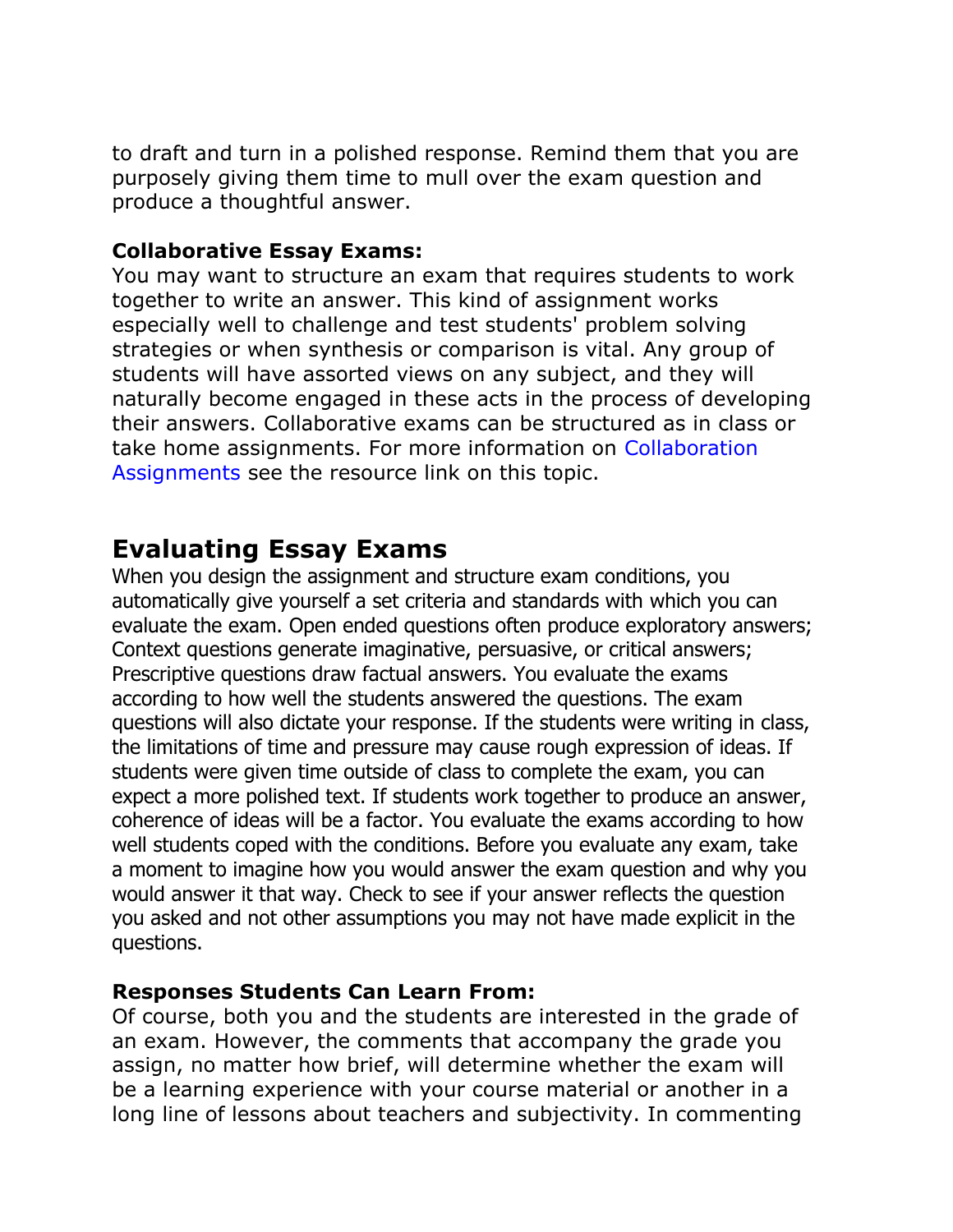to draft and turn in a polished response. Remind them that you are purposely giving them time to mull over the exam question and produce a thoughtful answer.

#### **Collaborative Essay Exams:**

You may want to structure an exam that requires students to work together to write an answer. This kind of assignment works especially well to challenge and test students' problem solving strategies or when synthesis or comparison is vital. Any group of students will have assorted views on any subject, and they will naturally become engaged in these acts in the process of developing their answers. Collaborative exams can be structured as in class or take home assignments. For more information on Collaboration Assignments see the resource link on this topic.

### **Evaluating Essay Exams**

When you design the assignment and structure exam conditions, you automatically give yourself a set criteria and standards with which you can evaluate the exam. Open ended questions often produce exploratory answers; Context questions generate imaginative, persuasive, or critical answers; Prescriptive questions draw factual answers. You evaluate the exams according to how well the students answered the questions. The exam questions will also dictate your response. If the students were writing in class, the limitations of time and pressure may cause rough expression of ideas. If students were given time outside of class to complete the exam, you can expect a more polished text. If students work together to produce an answer, coherence of ideas will be a factor. You evaluate the exams according to how well students coped with the conditions. Before you evaluate any exam, take a moment to imagine how you would answer the exam question and why you would answer it that way. Check to see if your answer reflects the question you asked and not other assumptions you may not have made explicit in the questions.

#### **Responses Students Can Learn From:**

Of course, both you and the students are interested in the grade of an exam. However, the comments that accompany the grade you assign, no matter how brief, will determine whether the exam will be a learning experience with your course material or another in a long line of lessons about teachers and subjectivity. In commenting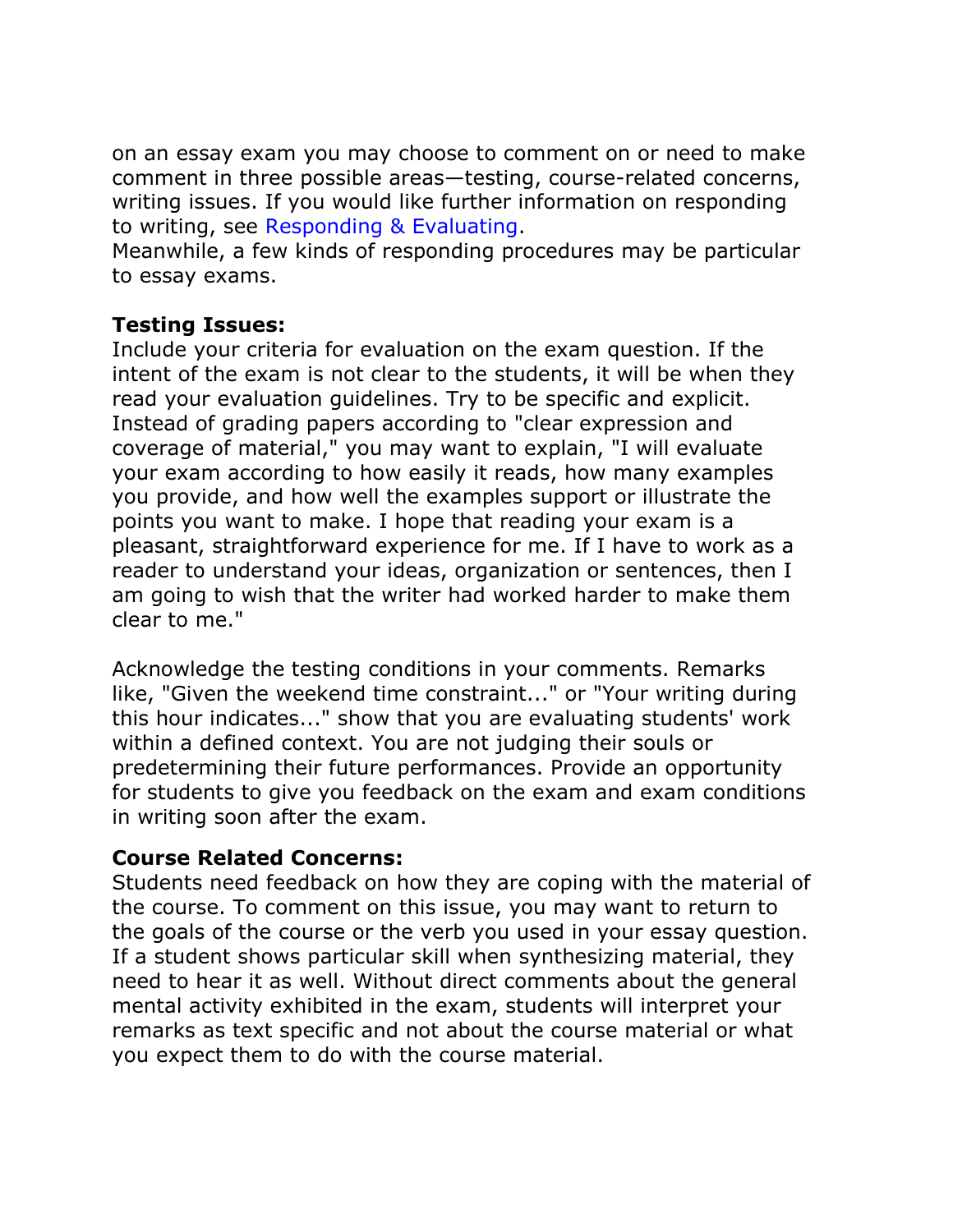on an essay exam you may choose to comment on or need to make comment in three possible areas—testing, course-related concerns, writing issues. If you would like further information on responding to writing, see Responding & Evaluating.

Meanwhile, a few kinds of responding procedures may be particular to essay exams.

#### **Testing Issues:**

Include your criteria for evaluation on the exam question. If the intent of the exam is not clear to the students, it will be when they read your evaluation guidelines. Try to be specific and explicit. Instead of grading papers according to "clear expression and coverage of material," you may want to explain, "I will evaluate your exam according to how easily it reads, how many examples you provide, and how well the examples support or illustrate the points you want to make. I hope that reading your exam is a pleasant, straightforward experience for me. If I have to work as a reader to understand your ideas, organization or sentences, then I am going to wish that the writer had worked harder to make them clear to me."

Acknowledge the testing conditions in your comments. Remarks like, "Given the weekend time constraint..." or "Your writing during this hour indicates..." show that you are evaluating students' work within a defined context. You are not judging their souls or predetermining their future performances. Provide an opportunity for students to give you feedback on the exam and exam conditions in writing soon after the exam.

#### **Course Related Concerns:**

Students need feedback on how they are coping with the material of the course. To comment on this issue, you may want to return to the goals of the course or the verb you used in your essay question. If a student shows particular skill when synthesizing material, they need to hear it as well. Without direct comments about the general mental activity exhibited in the exam, students will interpret your remarks as text specific and not about the course material or what you expect them to do with the course material.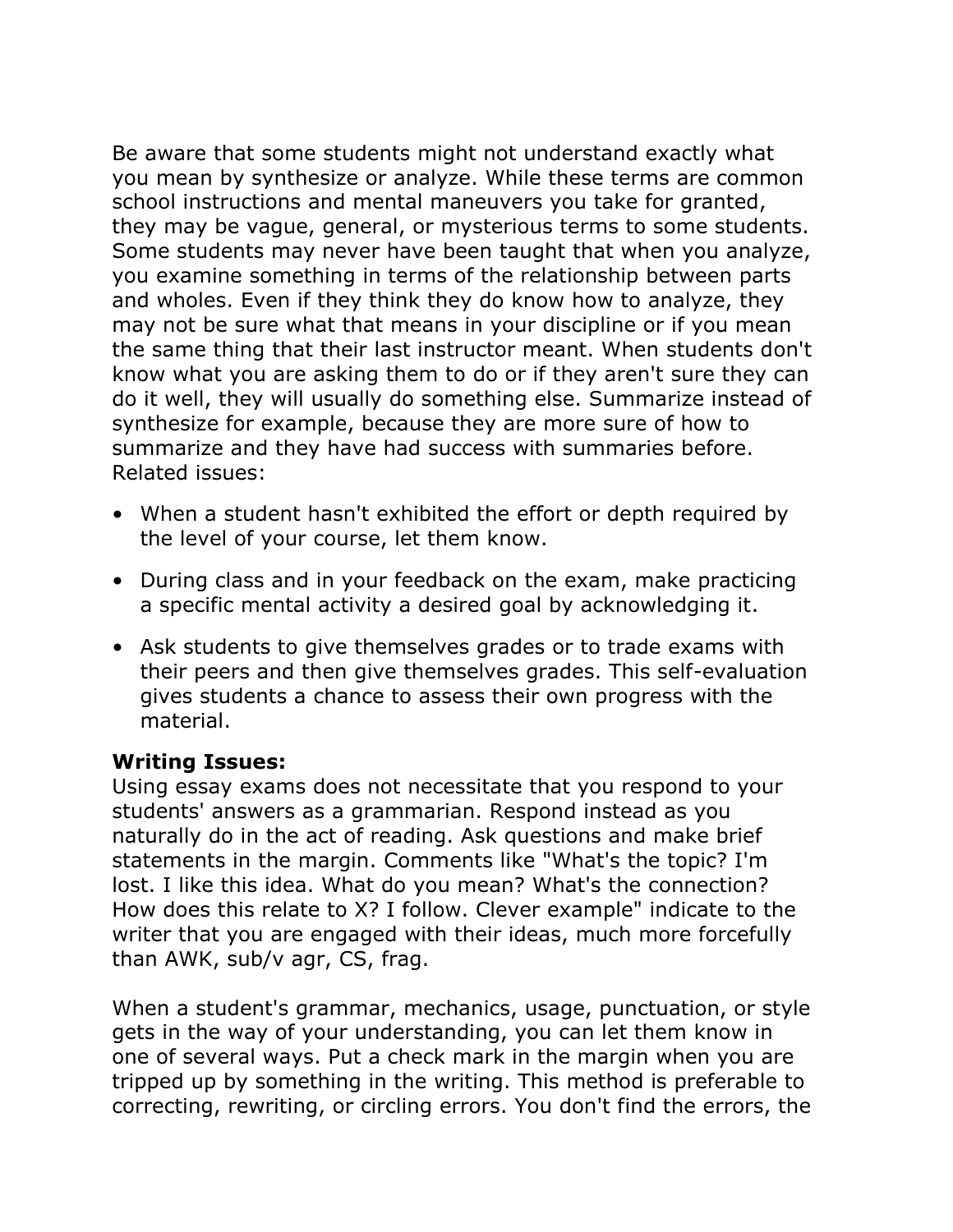Be aware that some students might not understand exactly what you mean by synthesize or analyze. While these terms are common school instructions and mental maneuvers you take for granted, they may be vague, general, or mysterious terms to some students. Some students may never have been taught that when you analyze, you examine something in terms of the relationship between parts and wholes. Even if they think they do know how to analyze, they may not be sure what that means in your discipline or if you mean the same thing that their last instructor meant. When students don't know what you are asking them to do or if they aren't sure they can do it well, they will usually do something else. Summarize instead of synthesize for example, because they are more sure of how to summarize and they have had success with summaries before. Related issues:

- When a student hasn't exhibited the effort or depth required by the level of your course, let them know.
- During class and in your feedback on the exam, make practicing a specific mental activity a desired goal by acknowledging it.
- Ask students to give themselves grades or to trade exams with their peers and then give themselves grades. This self-evaluation gives students a chance to assess their own progress with the material.

#### **Writing Issues:**

Using essay exams does not necessitate that you respond to your students' answers as a grammarian. Respond instead as you naturally do in the act of reading. Ask questions and make brief statements in the margin. Comments like "What's the topic? I'm lost. I like this idea. What do you mean? What's the connection? How does this relate to X? I follow. Clever example" indicate to the writer that you are engaged with their ideas, much more forcefully than AWK, sub/v agr, CS, frag.

When a student's grammar, mechanics, usage, punctuation, or style gets in the way of your understanding, you can let them know in one of several ways. Put a check mark in the margin when you are tripped up by something in the writing. This method is preferable to correcting, rewriting, or circling errors. You don't find the errors, the